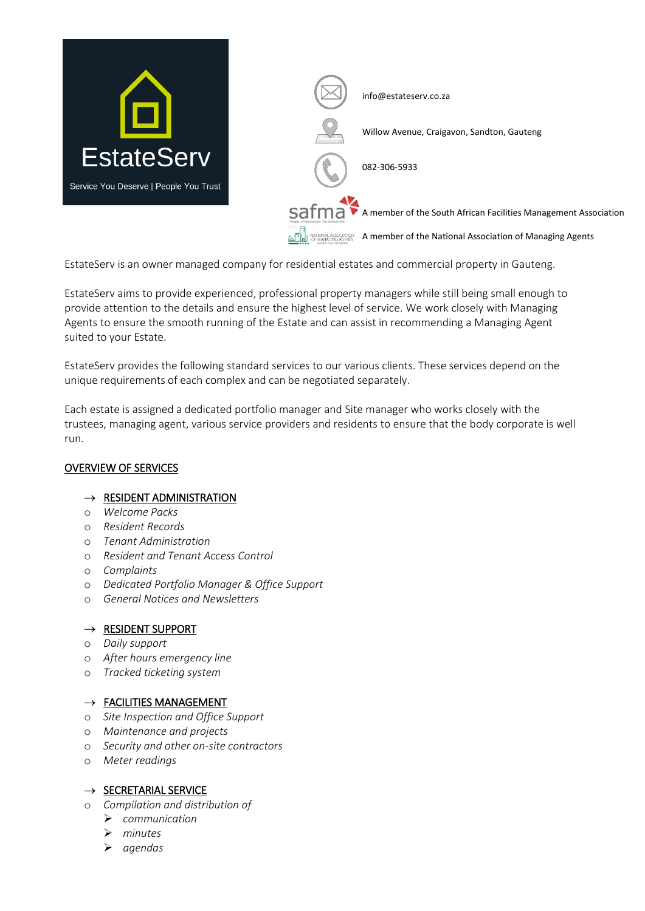

EstateServ is an owner managed company for residential estates and commercial property in Gauteng.

EstateServ aims to provide experienced, professional property managers while still being small enough to provide attention to the details and ensure the highest level of service. We work closely with Managing Agents to ensure the smooth running of the Estate and can assist in recommending a Managing Agent suited to your Estate.

EstateServ provides the following standard services to our various clients. These services depend on the unique requirements of each complex and can be negotiated separately.

Each estate is assigned a dedicated portfolio manager and Site manager who works closely with the trustees, managing agent, various service providers and residents to ensure that the body corporate is well run.

## OVERVIEW OF SERVICES

## $\rightarrow$  RESIDENT ADMINISTRATION

- o *Welcome Packs*
- o *Resident Records*
- o *Tenant Administration*
- o *Resident and Tenant Access Control*
- o *Complaints*
- o *Dedicated Portfolio Manager & Office Support*
- o *General Notices and Newsletters*

## $\rightarrow$  RESIDENT SUPPORT

- o *Daily support*
- o *After hours emergency line*
- o *Tracked ticketing system*

## $\rightarrow$  FACILITIES MANAGEMENT

- o *Site Inspection and Office Support*
- o *Maintenance and projects*
- o *Security and other on-site contractors*
- o *Meter readings*

## $\rightarrow$  SECRETARIAL SERVICE

- o *Compilation and distribution of* 
	- ➢ *communication*
	- ➢ *minutes*
	- ➢ *agendas*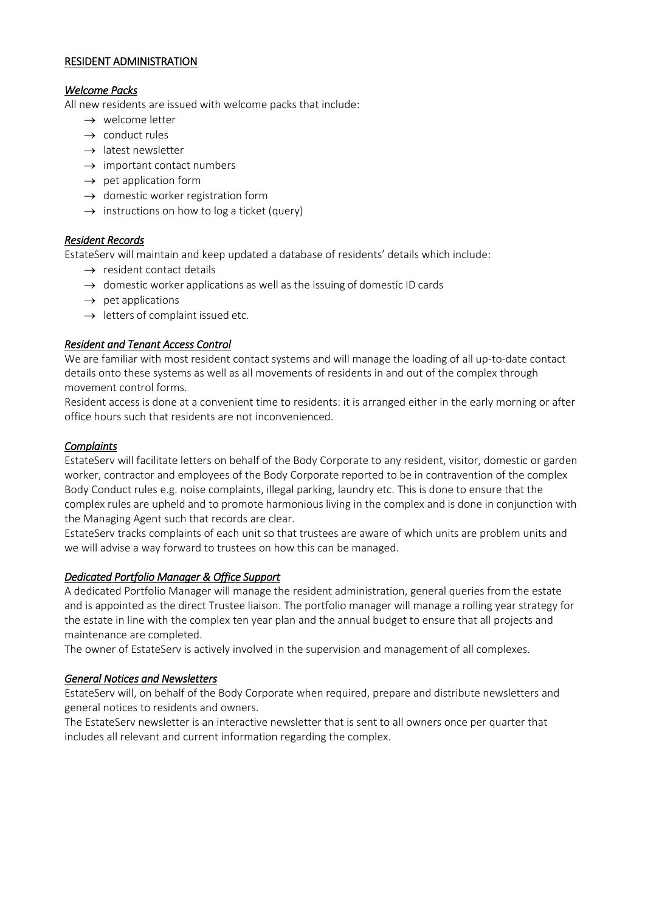#### RESIDENT ADMINISTRATION

#### *Welcome Packs*

All new residents are issued with welcome packs that include:

- $\rightarrow$  welcome letter
- $\rightarrow$  conduct rules
- $\rightarrow$  latest newsletter
- $\rightarrow$  important contact numbers
- $\rightarrow$  pet application form
- $\rightarrow$  domestic worker registration form
- $\rightarrow$  instructions on how to log a ticket (query)

#### *Resident Records*

EstateServ will maintain and keep updated a database of residents' details which include:

- $\rightarrow$  resident contact details
- $\rightarrow$  domestic worker applications as well as the issuing of domestic ID cards
- $\rightarrow$  pet applications
- $\rightarrow$  letters of complaint issued etc.

#### *Resident and Tenant Access Control*

We are familiar with most resident contact systems and will manage the loading of all up-to-date contact details onto these systems as well as all movements of residents in and out of the complex through movement control forms.

Resident access is done at a convenient time to residents: it is arranged either in the early morning or after office hours such that residents are not inconvenienced.

#### *Complaints*

EstateServ will facilitate letters on behalf of the Body Corporate to any resident, visitor, domestic or garden worker, contractor and employees of the Body Corporate reported to be in contravention of the complex Body Conduct rules e.g. noise complaints, illegal parking, laundry etc. This is done to ensure that the complex rules are upheld and to promote harmonious living in the complex and is done in conjunction with the Managing Agent such that records are clear.

EstateServ tracks complaints of each unit so that trustees are aware of which units are problem units and we will advise a way forward to trustees on how this can be managed.

## *Dedicated Portfolio Manager & Office Support*

A dedicated Portfolio Manager will manage the resident administration, general queries from the estate and is appointed as the direct Trustee liaison. The portfolio manager will manage a rolling year strategy for the estate in line with the complex ten year plan and the annual budget to ensure that all projects and maintenance are completed.

The owner of EstateServ is actively involved in the supervision and management of all complexes.

## *General Notices and Newsletters*

EstateServ will, on behalf of the Body Corporate when required, prepare and distribute newsletters and general notices to residents and owners.

The EstateServ newsletter is an interactive newsletter that is sent to all owners once per quarter that includes all relevant and current information regarding the complex.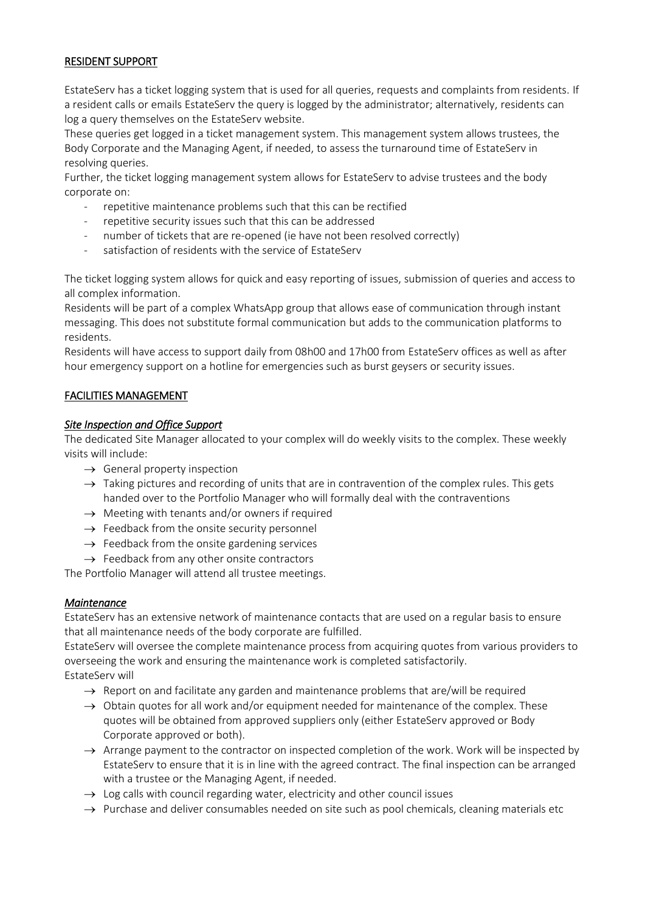## RESIDENT SUPPORT

EstateServ has a ticket logging system that is used for all queries, requests and complaints from residents. If a resident calls or emails EstateServ the query is logged by the administrator; alternatively, residents can log a query themselves on the EstateServ website.

These queries get logged in a ticket management system. This management system allows trustees, the Body Corporate and the Managing Agent, if needed, to assess the turnaround time of EstateServ in resolving queries.

Further, the ticket logging management system allows for EstateServ to advise trustees and the body corporate on:

- repetitive maintenance problems such that this can be rectified
- repetitive security issues such that this can be addressed
- number of tickets that are re-opened (ie have not been resolved correctly)
- satisfaction of residents with the service of EstateServ

The ticket logging system allows for quick and easy reporting of issues, submission of queries and access to all complex information.

Residents will be part of a complex WhatsApp group that allows ease of communication through instant messaging. This does not substitute formal communication but adds to the communication platforms to residents.

Residents will have access to support daily from 08h00 and 17h00 from EstateServ offices as well as after hour emergency support on a hotline for emergencies such as burst geysers or security issues.

## FACILITIES MANAGEMENT

## *Site Inspection and Office Support*

The dedicated Site Manager allocated to your complex will do weekly visits to the complex. These weekly visits will include:

- $\rightarrow$  General property inspection
- $\rightarrow$  Taking pictures and recording of units that are in contravention of the complex rules. This gets handed over to the Portfolio Manager who will formally deal with the contraventions
- $\rightarrow$  Meeting with tenants and/or owners if required
- $\rightarrow$  Feedback from the onsite security personnel
- $\rightarrow$  Feedback from the onsite gardening services
- $\rightarrow$  Feedback from any other onsite contractors

The Portfolio Manager will attend all trustee meetings.

## *Maintenance*

EstateServ has an extensive network of maintenance contacts that are used on a regular basis to ensure that all maintenance needs of the body corporate are fulfilled.

EstateServ will oversee the complete maintenance process from acquiring quotes from various providers to overseeing the work and ensuring the maintenance work is completed satisfactorily. EstateServ will

- $\rightarrow$  Report on and facilitate any garden and maintenance problems that are/will be required
- $\rightarrow$  Obtain quotes for all work and/or equipment needed for maintenance of the complex. These quotes will be obtained from approved suppliers only (either EstateServ approved or Body Corporate approved or both).
- $\rightarrow$  Arrange payment to the contractor on inspected completion of the work. Work will be inspected by EstateServ to ensure that it is in line with the agreed contract. The final inspection can be arranged with a trustee or the Managing Agent, if needed.
- $\rightarrow$  Log calls with council regarding water, electricity and other council issues
- $\rightarrow$  Purchase and deliver consumables needed on site such as pool chemicals, cleaning materials etc